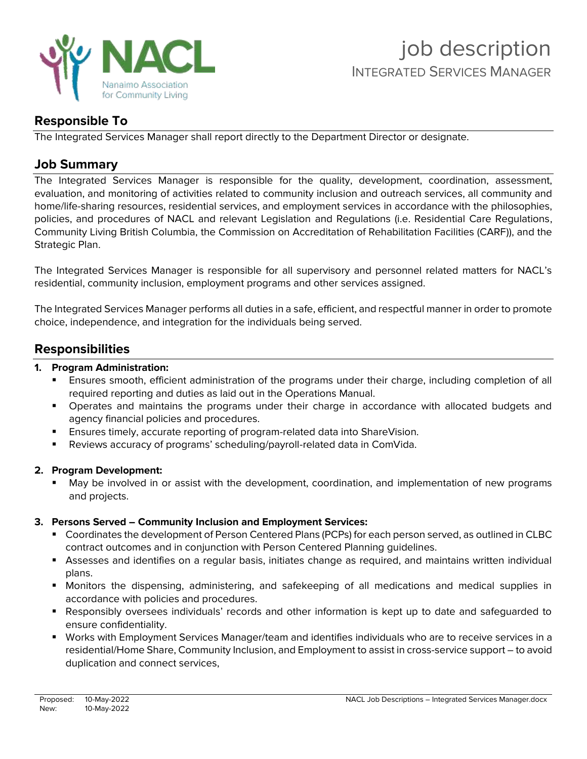

# **Responsible To**

The Integrated Services Manager shall report directly to the Department Director or designate.

# **Job Summary**

The Integrated Services Manager is responsible for the quality, development, coordination, assessment, evaluation, and monitoring of activities related to community inclusion and outreach services, all community and home/life-sharing resources, residential services, and employment services in accordance with the philosophies, policies, and procedures of NACL and relevant Legislation and Regulations (i.e. Residential Care Regulations, Community Living British Columbia, the Commission on Accreditation of Rehabilitation Facilities (CARF)), and the Strategic Plan.

The Integrated Services Manager is responsible for all supervisory and personnel related matters for NACL's residential, community inclusion, employment programs and other services assigned.

The Integrated Services Manager performs all duties in a safe, efficient, and respectful manner in order to promote choice, independence, and integration for the individuals being served.

# **Responsibilities**

## **1. Program Administration:**

- Ensures smooth, efficient administration of the programs under their charge, including completion of all required reporting and duties as laid out in the Operations Manual.
- Operates and maintains the programs under their charge in accordance with allocated budgets and agency financial policies and procedures.
- **Ensures timely, accurate reporting of program-related data into ShareVision.**
- Reviews accuracy of programs' scheduling/payroll-related data in ComVida.

# **2. Program Development:**

May be involved in or assist with the development, coordination, and implementation of new programs and projects.

# **3. Persons Served – Community Inclusion and Employment Services:**

- Coordinates the development of Person Centered Plans (PCPs) for each person served, as outlined in CLBC contract outcomes and in conjunction with Person Centered Planning guidelines.
- Assesses and identifies on a regular basis, initiates change as required, and maintains written individual plans.
- Monitors the dispensing, administering, and safekeeping of all medications and medical supplies in accordance with policies and procedures.
- Responsibly oversees individuals' records and other information is kept up to date and safeguarded to ensure confidentiality.
- Works with Employment Services Manager/team and identifies individuals who are to receive services in a residential/Home Share, Community Inclusion, and Employment to assist in cross-service support – to avoid duplication and connect services,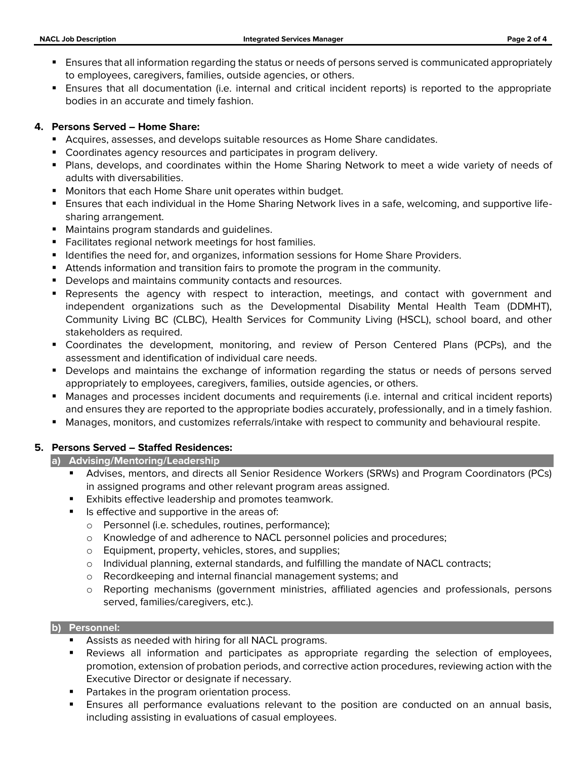- **E** Ensures that all information regarding the status or needs of persons served is communicated appropriately to employees, caregivers, families, outside agencies, or others.
- Ensures that all documentation (i.e. internal and critical incident reports) is reported to the appropriate bodies in an accurate and timely fashion.

#### **4. Persons Served – Home Share:**

- Acquires, assesses, and develops suitable resources as Home Share candidates.
- Coordinates agency resources and participates in program delivery.
- Plans, develops, and coordinates within the Home Sharing Network to meet a wide variety of needs of adults with diversabilities.
- Monitors that each Home Share unit operates within budget.
- Ensures that each individual in the Home Sharing Network lives in a safe, welcoming, and supportive lifesharing arrangement.
- Maintains program standards and quidelines.
- Facilitates regional network meetings for host families.
- Identifies the need for, and organizes, information sessions for Home Share Providers.
- **EXTENDER INTERS Information and transition fairs to promote the program in the community.**
- Develops and maintains community contacts and resources.
- **•** Represents the agency with respect to interaction, meetings, and contact with government and independent organizations such as the Developmental Disability Mental Health Team (DDMHT), Community Living BC (CLBC), Health Services for Community Living (HSCL), school board, and other stakeholders as required.
- Coordinates the development, monitoring, and review of Person Centered Plans (PCPs), and the assessment and identification of individual care needs.
- Develops and maintains the exchange of information regarding the status or needs of persons served appropriately to employees, caregivers, families, outside agencies, or others.
- Manages and processes incident documents and requirements (i.e. internal and critical incident reports) and ensures they are reported to the appropriate bodies accurately, professionally, and in a timely fashion.
- Manages, monitors, and customizes referrals/intake with respect to community and behavioural respite.

#### **5. Persons Served – Staffed Residences:**

#### **a) Advising/Mentoring/Leadership**

- Advises, mentors, and directs all Senior Residence Workers (SRWs) and Program Coordinators (PCs) in assigned programs and other relevant program areas assigned.
- Exhibits effective leadership and promotes teamwork.
- Is effective and supportive in the areas of:
	- o Personnel (i.e. schedules, routines, performance);
	- o Knowledge of and adherence to NACL personnel policies and procedures;
	- o Equipment, property, vehicles, stores, and supplies;
	- o Individual planning, external standards, and fulfilling the mandate of NACL contracts;
	- o Recordkeeping and internal financial management systems; and
	- o Reporting mechanisms (government ministries, affiliated agencies and professionals, persons served, families/caregivers, etc.).

#### **b) Personnel:**

- Assists as needed with hiring for all NACL programs.
- **E** Reviews all information and participates as appropriate regarding the selection of employees, promotion, extension of probation periods, and corrective action procedures, reviewing action with the Executive Director or designate if necessary.
- Partakes in the program orientation process.
- Ensures all performance evaluations relevant to the position are conducted on an annual basis, including assisting in evaluations of casual employees.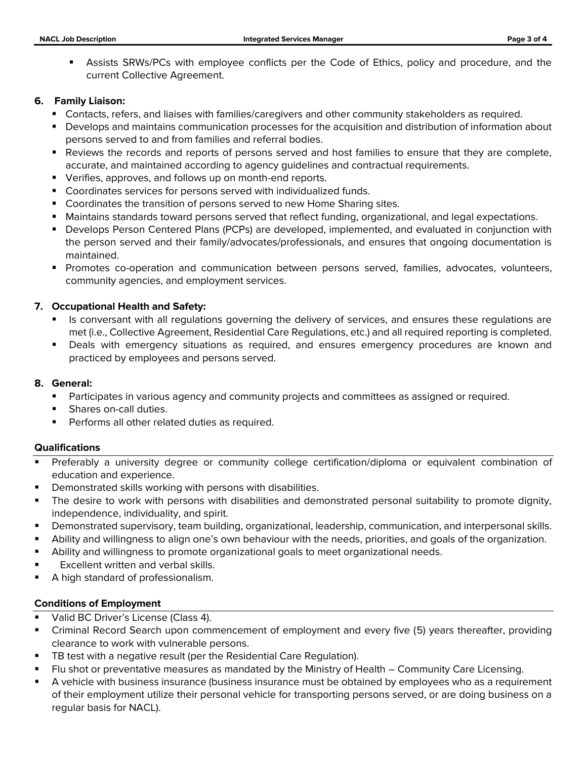**EXECOSE SRWS/PCs with employee conflicts per the Code of Ethics, policy and procedure, and the** current Collective Agreement.

### **6. Family Liaison:**

- **EX Contacts, refers, and liaises with families/caregivers and other community stakeholders as required.**
- **•** Develops and maintains communication processes for the acquisition and distribution of information about persons served to and from families and referral bodies.
- Reviews the records and reports of persons served and host families to ensure that they are complete, accurate, and maintained according to agency guidelines and contractual requirements.
- Verifies, approves, and follows up on month-end reports.
- Coordinates services for persons served with individualized funds.
- Coordinates the transition of persons served to new Home Sharing sites.
- **■** Maintains standards toward persons served that reflect funding, organizational, and legal expectations.
- **•** Develops Person Centered Plans (PCPs) are developed, implemented, and evaluated in conjunction with the person served and their family/advocates/professionals, and ensures that ongoing documentation is maintained.
- **•** Promotes co-operation and communication between persons served, families, advocates, volunteers, community agencies, and employment services.

## **7. Occupational Health and Safety:**

- Is conversant with all regulations governing the delivery of services, and ensures these regulations are met (i.e., Collective Agreement, Residential Care Regulations, etc.) and all required reporting is completed.
- **•** Deals with emergency situations as required, and ensures emergency procedures are known and practiced by employees and persons served.

### **8. General:**

- **•** Participates in various agency and community projects and committees as assigned or required.
- Shares on-call duties.
- Performs all other related duties as required.

## **Qualifications**

- Preferably a university degree or community college certification/diploma or equivalent combination of education and experience.
- Demonstrated skills working with persons with disabilities.
- The desire to work with persons with disabilities and demonstrated personal suitability to promote dignity, independence, individuality, and spirit.
- Demonstrated supervisory, team building, organizational, leadership, communication, and interpersonal skills.
- Ability and willingness to align one's own behaviour with the needs, priorities, and goals of the organization.
- Ability and willingness to promote organizational goals to meet organizational needs.
- Excellent written and verbal skills.
- A high standard of professionalism.

## **Conditions of Employment**

- Valid BC Driver's License (Class 4).
- Criminal Record Search upon commencement of employment and every five (5) years thereafter, providing clearance to work with vulnerable persons.
- TB test with a negative result (per the Residential Care Regulation).
- Flu shot or preventative measures as mandated by the Ministry of Health Community Care Licensing.
- A vehicle with business insurance (business insurance must be obtained by employees who as a requirement of their employment utilize their personal vehicle for transporting persons served, or are doing business on a regular basis for NACL).